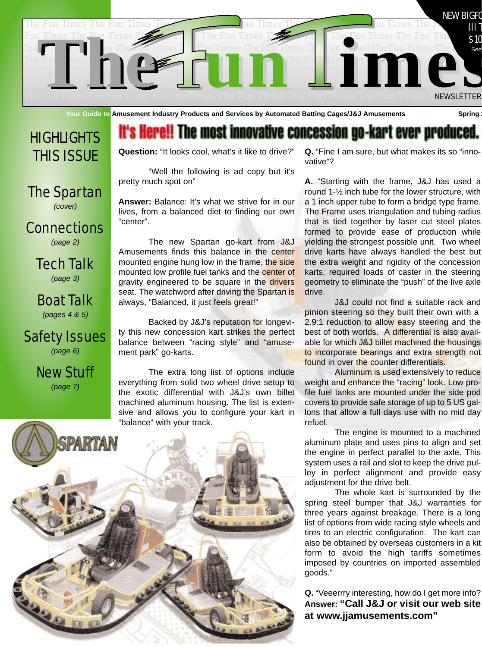

**Your Guide to Amusement Industry Products and Services by Automated Batting Cages/J&J Amusements Spring 2**

# **HIGHLIGHTS** THIS ISSUE

The Spartan *(cover)*

**Connections** *(page 2)*

> Tech Talk *(page 3)*

Boat Talk *(pages 4 & 5)*

### Safety Issues *(page 6)*

New Stuff *(page 7)*

# it's Here!! The most innovative concession go-kart ever produced.

**Question:** "It looks cool, what's it like to drive?"

"Well the following is ad copy but it's pretty much spot on"

**Answer:** Balance: It's what we strive for in our lives, from a balanced diet to finding our own "center".

The new Spartan go-kart from J&J Amusements finds this balance in the center mounted engine hung low in the frame, the side mounted low profile fuel tanks and the center of gravity engineered to be square in the drivers seat. The watchword after driving the Spartan is always, "Balanced, it just feels great!"

Backed by J&J's reputation for longevity this new concession kart strikes the perfect balance between "racing style" and "amusement park" go-karts.

The extra long list of options include everything from solid two wheel drive setup to the exotic differential with J&J's own billet machined aluminum housing. The list is extensive and allows you to configure your kart in "balance" with your track.



**Q.** "Fine I am sure, but what makes its so "innovative"?

**A.** "Starting with the frame, J&J has used a round 1-½ inch tube for the lower structure, with a 1 inch upper tube to form a bridge type frame. The Frame uses triangulation and tubing radius that is tied together by laser cut steel plates formed to provide ease of production while yielding the strongest possible unit. Two wheel drive karts have always handled the best but the extra weight and rigidity of the concession karts, required loads of caster in the steering geometry to eliminate the "push" of the live axle drive.

J&J could not find a suitable rack and pinion steering so they built their own with a 2.9:1 reduction to allow easy steering and the best of both worlds. A differential is also available for which J&J billet machined the housings to incorporate bearings and extra strength not found in over the counter differentials.

Aluminum is used extensively to reduce weight and enhance the "racing" look. Low profile fuel tanks are mounted under the side pod covers to provide safe storage of up to 5 US gallons that allow a full days use with no mid day refuel.

The engine is mounted to a machined aluminum plate and uses pins to align and set the engine in perfect parallel to the axle. This system uses a rail and slot to keep the drive pulley in perfect alignment and provide easy adjustment for the drive belt.

The whole kart is surrounded by the spring steel bumper that J&J warranties for three years against breakage. There is a long list of options from wide racing style wheels and tires to an electric configuration. The kart can also be obtained by overseas customers in a kit form to avoid the high tariffs sometimes imposed by countries on imported assembled goods."

**Q.** "Veeerrry interesting, how do I get more info? **Answer: "Call J&J or visit our web site at www.jjamusements.com"**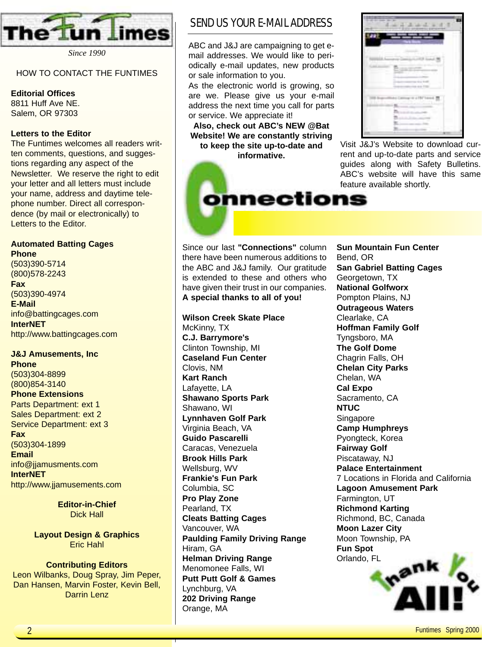

*Since 1990*

#### HOW TO CONTACT THE FUNTIMES

#### **Editorial Offices**

8811 Huff Ave NE. Salem, OR 97303

#### **Letters to the Editor**

The Funtimes welcomes all readers written comments, questions, and suggestions regarding any aspect of the Newsletter. We reserve the right to edit your letter and all letters must include your name, address and daytime telephone number. Direct all correspondence (by mail or electronically) to Letters to the Editor.

### **Automated Batting Cages**

**Phone** (503)390-5714 (800)578-2243 **Fax** (503)390-4974 **E-Mail** info@battingcages.com **InterNET** http://www.battingcages.com

### **J&J Amusements, Inc**

**Phone** (503)304-8899 (800)854-3140 **Phone Extensions** Parts Department: ext 1 Sales Department: ext 2 Service Department: ext 3 **Fax** (503)304-1899 **Email** info@jjamusments.com **InterNET** http://www.jjamusements.com

> **Editor-in-Chief** Dick Hall

**Layout Design & Graphics** Eric Hahl

#### **Contributing Editors**

Leon Wilbanks, Doug Spray, Jim Peper, Dan Hansen, Marvin Foster, Kevin Bell, Darrin Lenz

### SEND US YOUR E-MAIL ADDRESS

ABC and J&J are campaigning to get email addresses. We would like to periodically e-mail updates, new products or sale information to you.

As the electronic world is growing, so are we. Please give us your e-mail address the next time you call for parts or service. We appreciate it!

**Also, check out ABC's NEW @Bat Website! We are constantly striving to keep the site up-to-date and informative.**

onnections

| <b>North</b>      | <b>HELL</b><br>m<br><b>HARRY COM</b>  | came and the                |
|-------------------|---------------------------------------|-----------------------------|
|                   |                                       |                             |
|                   | <b>Service</b>                        |                             |
|                   |                                       | ۰<br><b>CONTRACTOR</b><br>m |
| <b>CREATE CAR</b> | m<br>2.<br><b>Toronto</b>             |                             |
|                   | ÷<br><b>CONTRACTOR</b><br><br>v.<br>w | m<br>×<br>Text.             |
|                   | ---                                   |                             |
|                   | arrest of                             | <b><i>ERIC TOALS</i></b>    |
|                   | m<br>٠<br>т<br><b>STORY</b>           |                             |
|                   | - and it<br>an a                      | and a                       |
|                   | ٠                                     | <b>STERNE</b>               |
|                   | THE<br><b>COLOR</b>                   | m                           |

Visit J&J's Website to download current and up-to-date parts and service guides along with Safety Bulletins. ABC's website will have this same feature available shortly.

Since our last **"Connections"** column there have been numerous additions to the ABC and J&J family. Our gratitude is extended to these and others who have given their trust in our companies. **A special thanks to all of you!**

**Wilson Creek Skate Place** McKinny, TX **C.J. Barrymore's** Clinton Township, MI **Caseland Fun Center** Clovis, NM **Kart Ranch** Lafayette, LA **Shawano Sports Park** Shawano, WI **Lynnhaven Golf Park** Virginia Beach, VA **Guido Pascarelli** Caracas, Venezuela **Brook Hills Park** Wellsburg, WV **Frankie's Fun Park** Columbia, SC **Pro Play Zone** Pearland, TX **Cleats Batting Cages** Vancouver, WA **Paulding Family Driving Range** Hiram, GA **Helman Driving Range** Menomonee Falls, WI **Putt Putt Golf & Games** Lynchburg, VA **202 Driving Range** Orange, MA

**Sun Mountain Fun Center** Bend, OR **San Gabriel Batting Cages** Georgetown, TX **National Golfworx** Pompton Plains, NJ **Outrageous Waters** Clearlake, CA **Hoffman Family Golf** Tyngsboro, MA **The Golf Dome** Chagrin Falls, OH **Chelan City Parks** Chelan, WA **Cal Expo** Sacramento, CA **NTUC Singapore Camp Humphreys** Pyongteck, Korea **Fairway Golf** Piscataway, NJ **Palace Entertainment** 7 Locations in Florida and California **Lagoon Amusement Park** Farmington, UT **Richmond Karting** Richmond, BC, Canada **Moon Lazer City** Moon Township, PA **Fun Spot** Orlando, FL

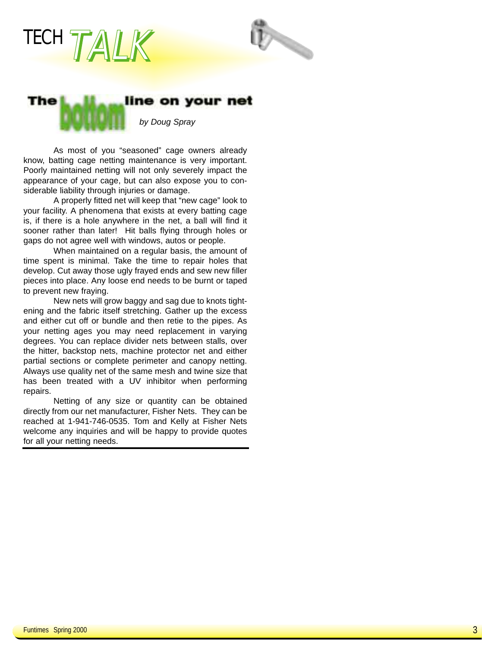



#### line on your net The

*by Doug Spray*

As most of you "seasoned" cage owners already know, batting cage netting maintenance is very important. Poorly maintained netting will not only severely impact the appearance of your cage, but can also expose you to considerable liability through injuries or damage.

A properly fitted net will keep that "new cage" look to your facility. A phenomena that exists at every batting cage is, if there is a hole anywhere in the net, a ball will find it sooner rather than later! Hit balls flying through holes or gaps do not agree well with windows, autos or people.

When maintained on a regular basis, the amount of time spent is minimal. Take the time to repair holes that develop. Cut away those ugly frayed ends and sew new filler pieces into place. Any loose end needs to be burnt or taped to prevent new fraying.

New nets will grow baggy and sag due to knots tightening and the fabric itself stretching. Gather up the excess and either cut off or bundle and then retie to the pipes. As your netting ages you may need replacement in varying degrees. You can replace divider nets between stalls, over the hitter, backstop nets, machine protector net and either partial sections or complete perimeter and canopy netting. Always use quality net of the same mesh and twine size that has been treated with a UV inhibitor when performing repairs.

Netting of any size or quantity can be obtained directly from our net manufacturer, Fisher Nets. They can be reached at 1-941-746-0535. Tom and Kelly at Fisher Nets welcome any inquiries and will be happy to provide quotes for all your netting needs.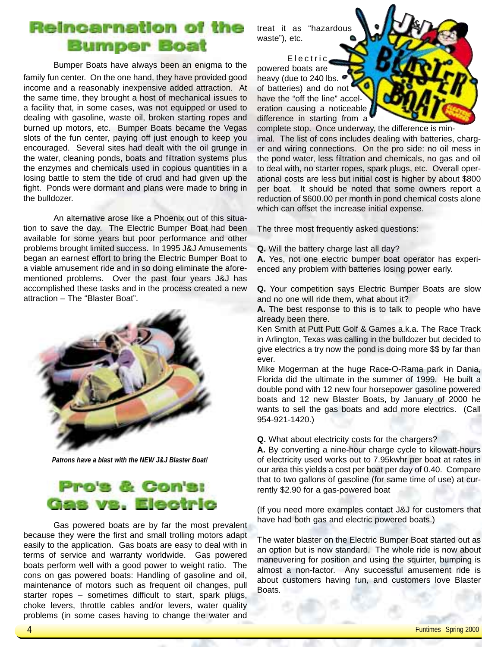## **Reincarnation of the Bumper Boat**

Bumper Boats have always been an enigma to the

family fun center. On the one hand, they have provided good income and a reasonably inexpensive added attraction. At the same time, they brought a host of mechanical issues to a facility that, in some cases, was not equipped or used to dealing with gasoline, waste oil, broken starting ropes and burned up motors, etc. Bumper Boats became the Vegas slots of the fun center, paying off just enough to keep you encouraged. Several sites had dealt with the oil grunge in the water, cleaning ponds, boats and filtration systems plus the enzymes and chemicals used in copious quantities in a losing battle to stem the tide of crud and had given up the fight. Ponds were dormant and plans were made to bring in the bulldozer.

An alternative arose like a Phoenix out of this situation to save the day. The Electric Bumper Boat had been available for some years but poor performance and other problems brought limited success. In 1995 J&J Amusements began an earnest effort to bring the Electric Bumper Boat to a viable amusement ride and in so doing eliminate the aforementioned problems. Over the past four years J&J has accomplished these tasks and in the process created a new attraction – The "Blaster Boat".



*Patrons have a blast with the NEW J&J Blaster Boat!*

# Pro's & Con's: Gas vs. Electric

Gas powered boats are by far the most prevalent because they were the first and small trolling motors adapt easily to the application. Gas boats are easy to deal with in terms of service and warranty worldwide. Gas powered boats perform well with a good power to weight ratio. The cons on gas powered boats: Handling of gasoline and oil, maintenance of motors such as frequent oil changes, pull starter ropes – sometimes difficult to start, spark plugs, choke levers, throttle cables and/or levers, water quality problems (in some cases having to change the water and

treat it as "hazardous waste"), etc.

Electric powered boats are heavy (due to 240 lbs. of batteries) and do not have the "off the line" acceleration causing a noticeable difference in starting from a

complete stop. Once underway, the difference is minimal. The list of cons includes dealing with batteries, charger and wiring connections. On the pro side: no oil mess in the pond water, less filtration and chemicals, no gas and oil to deal with, no starter ropes, spark plugs, etc. Overall operational costs are less but initial cost is higher by about \$800 per boat. It should be noted that some owners report a reduction of \$600.00 per month in pond chemical costs alone which can offset the increase initial expense.

The three most frequently asked questions:

**Q.** Will the battery charge last all day?

**A.** Yes, not one electric bumper boat operator has experienced any problem with batteries losing power early.

**Q.** Your competition says Electric Bumper Boats are slow and no one will ride them, what about it?

**A.** The best response to this is to talk to people who have already been there.

Ken Smith at Putt Putt Golf & Games a.k.a. The Race Track in Arlington, Texas was calling in the bulldozer but decided to give electrics a try now the pond is doing more \$\$ by far than ever.

Mike Mogerman at the huge Race-O-Rama park in Dania, Florida did the ultimate in the summer of 1999. He built a double pond with 12 new four horsepower gasoline powered boats and 12 new Blaster Boats, by January of 2000 he wants to sell the gas boats and add more electrics. (Call 954-921-1420.)

**Q.** What about electricity costs for the chargers?

**A.** By converting a nine-hour charge cycle to kilowatt-hours of electricity used works out to 7.95kwhr per boat at rates in our area this yields a cost per boat per day of 0.40. Compare that to two gallons of gasoline (for same time of use) at currently \$2.90 for a gas-powered boat

(If you need more examples contact J&J for customers that have had both gas and electric powered boats.)

The water blaster on the Electric Bumper Boat started out as an option but is now standard. The whole ride is now about maneuvering for position and using the squirter, bumping is almost a non-factor. Any successful amusement ride is about customers having fun, and customers love Blaster Boats.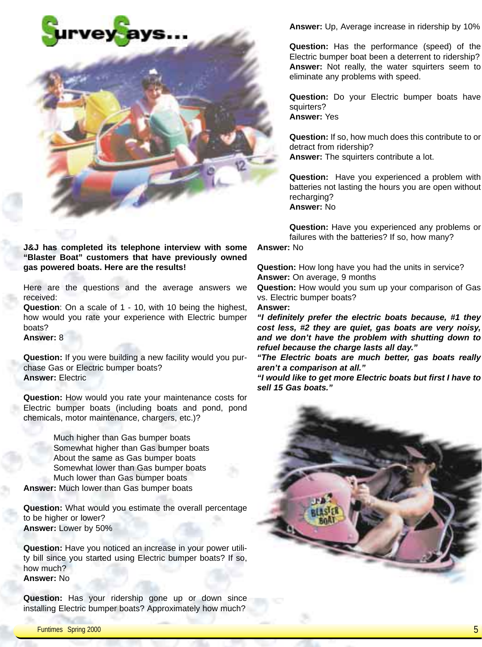

**J&J has completed its telephone interview with some "Blaster Boat" customers that have previously owned gas powered boats. Here are the results!**

Here are the questions and the average answers we received:

**Question**: On a scale of 1 - 10, with 10 being the highest, how would you rate your experience with Electric bumper boats?

**Answer:** 8

**Question:** If you were building a new facility would you purchase Gas or Electric bumper boats? **Answer:** Electric

**Question:** How would you rate your maintenance costs for Electric bumper boats (including boats and pond, pond chemicals, motor maintenance, chargers, etc.)?

Much higher than Gas bumper boats Somewhat higher than Gas bumper boats About the same as Gas bumper boats Somewhat lower than Gas bumper boats Much lower than Gas bumper boats **Answer:** Much lower than Gas bumper boats

**Question:** What would you estimate the overall percentage to be higher or lower? **Answer:** Lower by 50%

**Question:** Have you noticed an increase in your power utility bill since you started using Electric bumper boats? If so, how much? **Answer:** No

**Question:** Has your ridership gone up or down since installing Electric bumper boats? Approximately how much?

**Answer:** Up, Average increase in ridership by 10%

**Question:** Has the performance (speed) of the Electric bumper boat been a deterrent to ridership? **Answer:** Not really, the water squirters seem to eliminate any problems with speed.

**Question:** Do your Electric bumper boats have squirters? **Answer:** Yes

**Question:** If so, how much does this contribute to or detract from ridership? **Answer:** The squirters contribute a lot.

**Question:** Have you experienced a problem with batteries not lasting the hours you are open without recharging? **Answer:** No

**Question:** Have you experienced any problems or failures with the batteries? If so, how many?

**Answer:** No

**Question:** How long have you had the units in service? **Answer:** On average, 9 months

**Question:** How would you sum up your comparison of Gas vs. Electric bumper boats?

**Answer:**

*"I definitely prefer the electric boats because, #1 they cost less, #2 they are quiet, gas boats are very noisy, and we don't have the problem with shutting down to refuel because the charge lasts all day."*

*"The Electric boats are much better, gas boats really aren't a comparison at all."*

*"I would like to get more Electric boats but first I have to sell 15 Gas boats."*

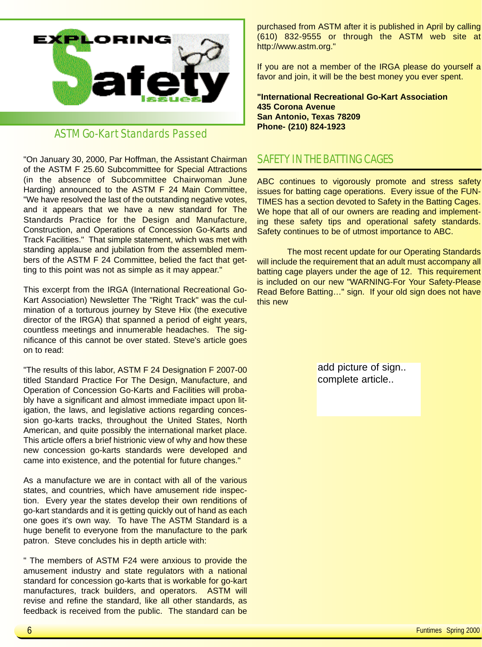

### ASTM Go-Kart Standards Passed

"On January 30, 2000, Par Hoffman, the Assistant Chairman of the ASTM F 25.60 Subcommittee for Special Attractions (in the absence of Subcommittee Chairwoman June Harding) announced to the ASTM F 24 Main Committee, "We have resolved the last of the outstanding negative votes, and it appears that we have a new standard for The Standards Practice for the Design and Manufacture, Construction, and Operations of Concession Go-Karts and Track Facilities." That simple statement, which was met with standing applause and jubilation from the assembled members of the ASTM F 24 Committee, belied the fact that getting to this point was not as simple as it may appear."

This excerpt from the IRGA (International Recreational Go-Kart Association) Newsletter The "Right Track" was the culmination of a torturous journey by Steve Hix (the executive director of the IRGA) that spanned a period of eight years, countless meetings and innumerable headaches. The significance of this cannot be over stated. Steve's article goes on to read:

"The results of this labor, ASTM F 24 Designation F 2007-00 titled Standard Practice For The Design, Manufacture, and Operation of Concession Go-Karts and Facilities will probably have a significant and almost immediate impact upon litigation, the laws, and legislative actions regarding concession go-karts tracks, throughout the United States, North American, and quite possibly the international market place. This article offers a brief histrionic view of why and how these new concession go-karts standards were developed and came into existence, and the potential for future changes."

As a manufacture we are in contact with all of the various states, and countries, which have amusement ride inspection. Every year the states develop their own renditions of go-kart standards and it is getting quickly out of hand as each one goes it's own way. To have The ASTM Standard is a huge benefit to everyone from the manufacture to the park patron. Steve concludes his in depth article with:

" The members of ASTM F24 were anxious to provide the amusement industry and state regulators with a national standard for concession go-karts that is workable for go-kart manufactures, track builders, and operators. ASTM will revise and refine the standard, like all other standards, as feedback is received from the public. The standard can be purchased from ASTM after it is published in April by calling (610) 832-9555 or through the ASTM web site at http://www.astm.org."

If you are not a member of the IRGA please do yourself a favor and join, it will be the best money you ever spent.

**"International Recreational Go-Kart Association 435 Corona Avenue San Antonio, Texas 78209 Phone- (210) 824-1923** 

### SAFETY IN THE BATTING CAGES

ABC continues to vigorously promote and stress safety issues for batting cage operations. Every issue of the FUN-TIMES has a section devoted to Safety in the Batting Cages. We hope that all of our owners are reading and implementing these safety tips and operational safety standards. Safety continues to be of utmost importance to ABC.

The most recent update for our Operating Standards will include the requirement that an adult must accompany all batting cage players under the age of 12. This requirement is included on our new "WARNING-For Your Safety-Please Read Before Batting…" sign. If your old sign does not have this new

> add picture of sign.. complete article..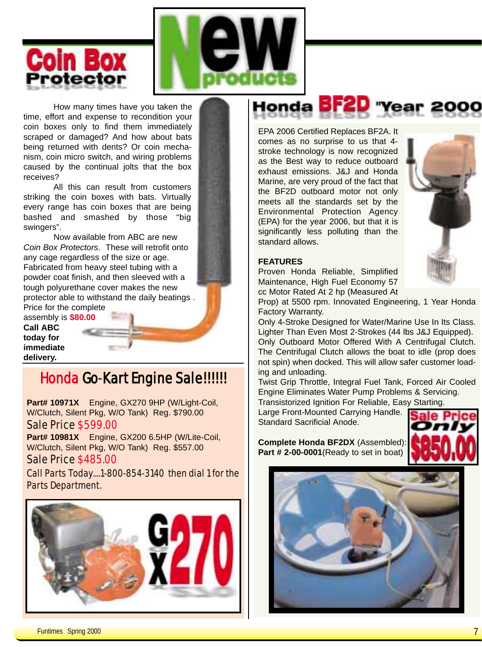



How many times have you taken the time, effort and expense to recondition your coin boxes only to find them immediately scraped or damaged? And how about bats being returned with dents? Or coin mechanism, coin micro switch, and wiring problems caused by the continual jolts that the box receives?

All this can result from customers striking the coin boxes with bats. Virtually every range has coin boxes that are being bashed and smashed by those "big swingers".

Now available from ABC are new *Coin Box Protectors*. These will retrofit onto any cage regardless of the size or age. Fabricated from heavy steel tubing with a powder coat finish, and then sleeved with a tough polyurethane cover makes the new protector able to withstand the daily beatings . Price for the complete

assembly is **\$80.00 Call ABC today for immediate delivery.**

# Honda Go-Kart Engine Sale!!!!!!

**Part# 10971X** Engine, GX270 9HP (W/Light-Coil, W/Clutch, Silent Pkg, W/O Tank) Reg. \$790.00 Sale Price \$599.00

**Part# 10981X** Engine, GX200 6.5HP (W/Lite-Coil, W/Clutch, Silent Pkg, W/O Tank) Reg. \$557.00 Sale Price \$485.00

Call Parts Today....1-800-854-3140 then dial 1 for the Parts Department.



Honda **BF2D** "Year 2000

EPA 2006 Certified Replaces BF2A. It comes as no surprise to us that 4 stroke technology is now recognized as the Best way to reduce outboard exhaust emissions. J&J and Honda Marine, are very proud of the fact that the BF2D outboard motor not only meets all the standards set by the Environmental Protection Agency (EPA) for the year 2006, but that it is significantly less polluting than the standard allows.



#### **FEATURES**

Proven Honda Reliable, Simplified Maintenance, High Fuel Economy 57 cc Motor Rated At 2 hp (Measured At

Prop) at 5500 rpm. Innovated Engineering, 1 Year Honda Factory Warranty.

Only 4-Stroke Designed for Water/Marine Use In Its Class. Lighter Than Even Most 2-Strokes (44 lbs J&J Equipped). Only Outboard Motor Offered With A Centrifugal Clutch. The Centrifugal Clutch allows the boat to idle (prop does not spin) when docked. This will allow safer customer loading and unloading.

Twist Grip Throttle, Integral Fuel Tank, Forced Air Cooled Engine Eliminates Water Pump Problems & Servicing. Transistorized Ignition For Reliable, Easy Starting.

Large Front-Mounted Carrying Handle. Standard Sacrificial Anode.

**Complete Honda BF2DX** (Assembled): **Part # 2-00-0001**(Ready to set in boat)